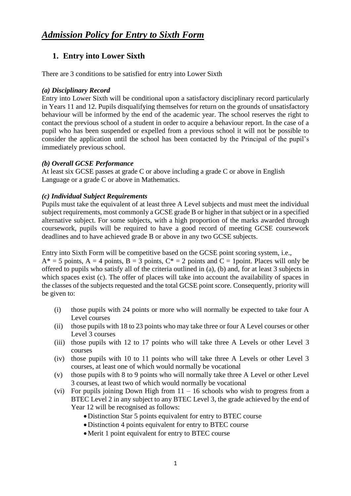# **1. Entry into Lower Sixth**

There are 3 conditions to be satisfied for entry into Lower Sixth

### *(a) Disciplinary Record*

Entry into Lower Sixth will be conditional upon a satisfactory disciplinary record particularly in Years 11 and 12. Pupils disqualifying themselves for return on the grounds of unsatisfactory behaviour will be informed by the end of the academic year. The school reserves the right to contact the previous school of a student in order to acquire a behaviour report. In the case of a pupil who has been suspended or expelled from a previous school it will not be possible to consider the application until the school has been contacted by the Principal of the pupil's immediately previous school.

#### *(b) Overall GCSE Performance*

At least six GCSE passes at grade C or above including a grade C or above in English Language or a grade C or above in Mathematics.

### *(c) Individual Subject Requirements*

Pupils must take the equivalent of at least three A Level subjects and must meet the individual subject requirements, most commonly a GCSE grade B or higher in that subject or in a specified alternative subject. For some subjects, with a high proportion of the marks awarded through coursework, pupils will be required to have a good record of meeting GCSE coursework deadlines and to have achieved grade B or above in any two GCSE subjects.

Entry into Sixth Form will be competitive based on the GCSE point scoring system, i.e.,

 $A^* = 5$  points,  $A = 4$  points,  $B = 3$  points,  $C^* = 2$  points and  $C = 1$  point. Places will only be offered to pupils who satisfy all of the criteria outlined in (a), (b) and, for at least 3 subjects in which spaces exist (c). The offer of places will take into account the availability of spaces in the classes of the subjects requested and the total GCSE point score. Consequently, priority will be given to:

- (i) those pupils with 24 points or more who will normally be expected to take four A Level courses
- (ii) those pupils with 18 to 23 points who may take three or four A Level courses or other Level 3 courses
- (iii) those pupils with 12 to 17 points who will take three A Levels or other Level 3 courses
- (iv) those pupils with 10 to 11 points who will take three A Levels or other Level 3 courses, at least one of which would normally be vocational
- (v) those pupils with 8 to 9 points who will normally take three A Level or other Level 3 courses, at least two of which would normally be vocational
- (vi) For pupils joining Down High from  $11 16$  schools who wish to progress from a BTEC Level 2 in any subject to any BTEC Level 3, the grade achieved by the end of Year 12 will be recognised as follows:
	- Distinction Star 5 points equivalent for entry to BTEC course
	- Distinction 4 points equivalent for entry to BTEC course
	- Merit 1 point equivalent for entry to BTEC course